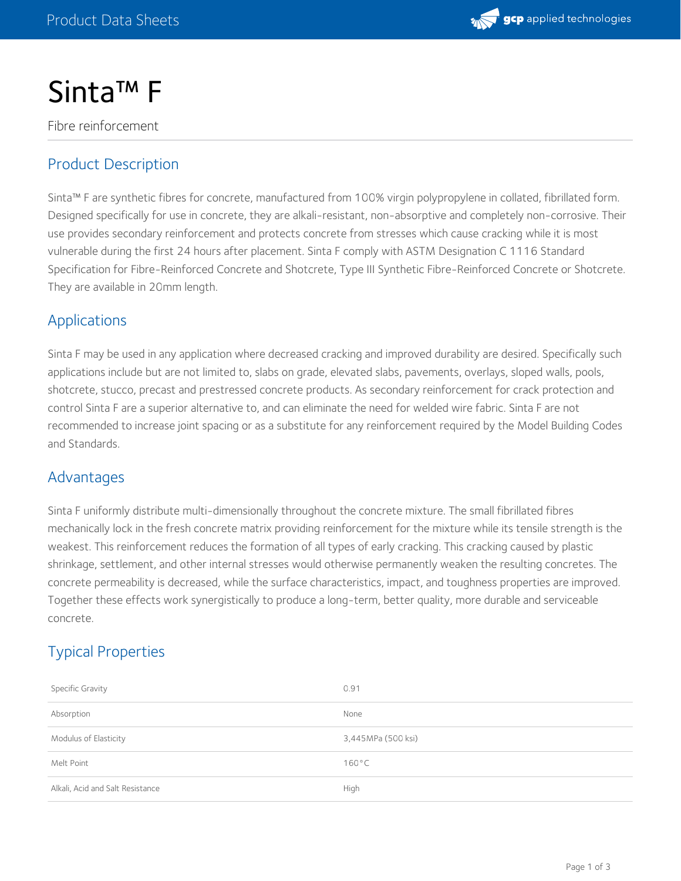

# Sinta™ F

Fibre reinforcement

## Product Description

Sinta™ F are synthetic fibres for concrete, manufactured from 100% virgin polypropylene in collated, fibrillated form. Designed specifically for use in concrete, they are alkali-resistant, non-absorptive and completely non-corrosive. Their use provides secondary reinforcement and protects concrete from stresses which cause cracking while it is most vulnerable during the first 24 hours after placement. Sinta F comply with ASTM Designation C 1116 Standard Specification for Fibre-Reinforced Concrete and Shotcrete, Type III Synthetic Fibre-Reinforced Concrete or Shotcrete. They are available in 20mm length.

### Applications

Sinta F may be used in any application where decreased cracking and improved durability are desired. Specifically such applications include but are not limited to, slabs on grade, elevated slabs, pavements, overlays, sloped walls, pools, shotcrete, stucco, precast and prestressed concrete products. As secondary reinforcement for crack protection and control Sinta F are a superior alternative to, and can eliminate the need for welded wire fabric. Sinta F are not recommended to increase joint spacing or as a substitute for any reinforcement required by the Model Building Codes and Standards.

#### Advantages

Sinta F uniformly distribute multi-dimensionally throughout the concrete mixture. The small fibrillated fibres mechanically lock in the fresh concrete matrix providing reinforcement for the mixture while its tensile strength is the weakest. This reinforcement reduces the formation of all types of early cracking. This cracking caused by plastic shrinkage, settlement, and other internal stresses would otherwise permanently weaken the resulting concretes. The concrete permeability is decreased, while the surface characteristics, impact, and toughness properties are improved. Together these effects work synergistically to produce a long-term, better quality, more durable and serviceable concrete.

## Typical Properties

| Specific Gravity                 | 0.91               |
|----------------------------------|--------------------|
| Absorption                       | None               |
| Modulus of Elasticity            | 3,445MPa (500 ksi) |
| Melt Point                       | $160^{\circ}$ C    |
| Alkali, Acid and Salt Resistance | High               |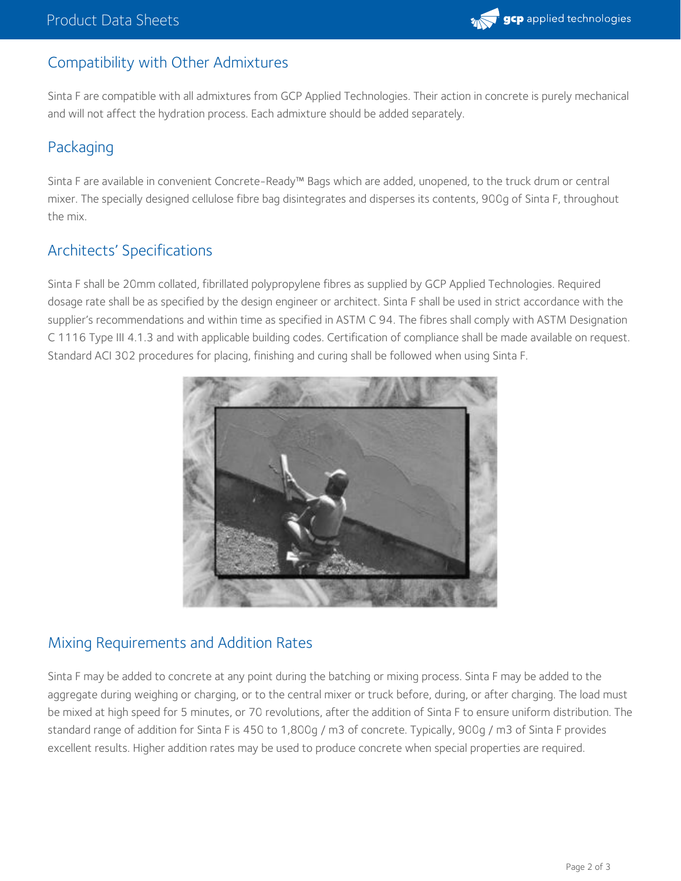# Compatibility with Other Admixtures

Sinta F are compatible with all admixtures from GCP Applied Technologies. Their action in concrete is purely mechanical and will not affect the hydration process. Each admixture should be added separately.

## Packaging

Sinta F are available in convenient Concrete-Ready™ Bags which are added, unopened, to the truck drum or central mixer. The specially designed cellulose fibre bag disintegrates and disperses its contents, 900g of Sinta F, throughout the mix.

## Architects' Specifications

Sinta F shall be 20mm collated, fibrillated polypropylene fibres as supplied by GCP Applied Technologies. Required dosage rate shall be as specified by the design engineer or architect. Sinta F shall be used in strict accordance with the supplier's recommendations and within time as specified in ASTM C 94. The fibres shall comply with ASTM Designation C 1116 Type III 4.1.3 and with applicable building codes. Certification of compliance shall be made available on request. Standard ACI 302 procedures for placing, finishing and curing shall be followed when using Sinta F.



## Mixing Requirements and Addition Rates

Sinta F may be added to concrete at any point during the batching or mixing process. Sinta F may be added to the aggregate during weighing or charging, or to the central mixer or truck before, during, or after charging. The load must be mixed at high speed for 5 minutes, or 70 revolutions, after the addition of Sinta F to ensure uniform distribution. The standard range of addition for Sinta F is 450 to 1,800g / m3 of concrete. Typically, 900g / m3 of Sinta F provides excellent results. Higher addition rates may be used to produce concrete when special properties are required.